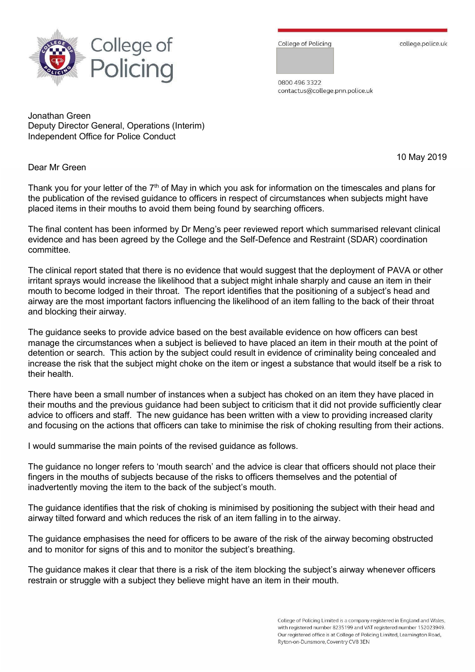

College of Policing

college.police.uk

0800 496 3322 contactus@college.pnn.police.uk

Jonathan Green Deputy Director General, Operations (Interim) Independent Office for Police Conduct

Dear Mr Green

Thank you for your letter of the  $7<sup>th</sup>$  of May in which you ask for information on the timescales and plans for the publication of the revised guidance to officers in respect of circumstances when subjects might have placed items in their mouths to avoid them being found by searching officers.

The final content has been informed by Dr Meng's peer reviewed report which summarised relevant clinical evidence and has been agreed by the College and the Self-Defence and Restraint (SDAR) coordination committee.

The clinical report stated that there is no evidence that would suggest that the deployment of PAVA or other irritant sprays would increase the likelihood that a subject might inhale sharply and cause an item in their mouth to become lodged in their throat. The report identifies that the positioning of a subject's head and airway are the most important factors influencing the likelihood of an item falling to the back of their throat and blocking their airway.

The guidance seeks to provide advice based on the best available evidence on how officers can best manage the circumstances when a subject is believed to have placed an item in their mouth at the point of detention or search. This action by the subject could result in evidence of criminality being concealed and increase the risk that the subject might choke on the item or ingest a substance that would itself be a risk to their health.

There have been a small number of instances when a subject has choked on an item they have placed in their mouths and the previous guidance had been subject to criticism that it did not provide sufficiently clear advice to officers and staff. The new guidance has been written with a view to providing increased clarity and focusing on the actions that officers can take to minimise the risk of choking resulting from their actions.

I would summarise the main points of the revised guidance as follows.

The guidance no longer refers to 'mouth search' and the advice is clear that officers should not place their fingers in the mouths of subjects because of the risks to officers themselves and the potential of inadvertently moving the item to the back of the subject's mouth.

The guidance identifies that the risk of choking is minimised by positioning the subject with their head and airway tilted forward and which reduces the risk of an item falling in to the airway.

The guidance emphasises the need for officers to be aware of the risk of the airway becoming obstructed and to monitor for signs of this and to monitor the subject's breathing.

The guidance makes it clear that there is a risk of the item blocking the subject's airway whenever officers restrain or struggle with a subject they believe might have an item in their mouth.

10 May 2019